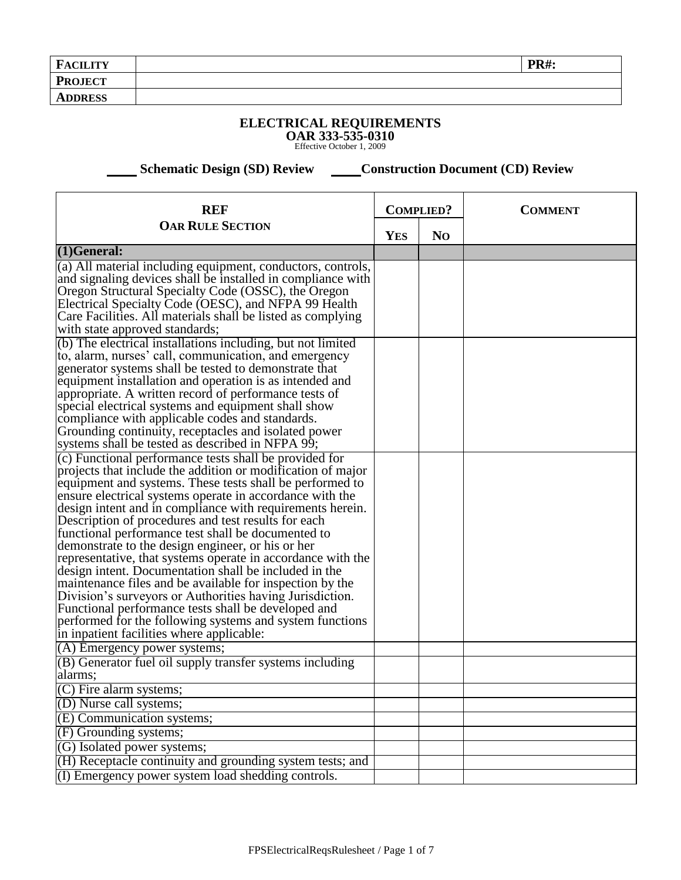| <b>FACILITY</b> | <b>PR#:</b> |
|-----------------|-------------|
| <b>PROJECT</b>  |             |
| <b>ADDRESS</b>  |             |
|                 |             |

## **ELECTRICAL REQUIREMENTS OAR 333-535-0310** Effective October 1, 2009

**Schematic Design (SD) Review Construction Document (CD) Review** 

| <b>REF</b>                                                                                                              |            | <b>COMPLIED?</b> | <b>COMMENT</b> |
|-------------------------------------------------------------------------------------------------------------------------|------------|------------------|----------------|
| <b>OAR RULE SECTION</b>                                                                                                 | <b>YES</b> | N <sub>O</sub>   |                |
| $(1)$ General:                                                                                                          |            |                  |                |
| (a) All material including equipment, conductors, controls,                                                             |            |                  |                |
| and signaling devices shall be installed in compliance with                                                             |            |                  |                |
| Oregon Structural Specialty Code (OSSC), the Oregon<br>Electrical Specialty Code (OESC), and NFPA 99 Health             |            |                  |                |
| Care Facilities. All materials shall be listed as complying                                                             |            |                  |                |
| with state approved standards;                                                                                          |            |                  |                |
| (b) The electrical installations including, but not limited                                                             |            |                  |                |
| to, alarm, nurses' call, communication, and emergency                                                                   |            |                  |                |
| generator systems shall be tested to demonstrate that                                                                   |            |                  |                |
| equipment installation and operation is as intended and                                                                 |            |                  |                |
| appropriate. A written record of performance tests of                                                                   |            |                  |                |
| special electrical systems and equipment shall show                                                                     |            |                  |                |
| compliance with applicable codes and standards.                                                                         |            |                  |                |
| Grounding continuity, receptacles and isolated power                                                                    |            |                  |                |
| systems shall be tested as described in NFPA 99;                                                                        |            |                  |                |
| (c) Functional performance tests shall be provided for                                                                  |            |                  |                |
| projects that include the addition or modification of major<br>equipment and systems. These tests shall be performed to |            |                  |                |
| ensure electrical systems operate in accordance with the                                                                |            |                  |                |
| design intent and in compliance with requirements herein.                                                               |            |                  |                |
| Description of procedures and test results for each                                                                     |            |                  |                |
| functional performance test shall be documented to                                                                      |            |                  |                |
| demonstrate to the design engineer, or his or her                                                                       |            |                  |                |
| representative, that systems operate in accordance with the                                                             |            |                  |                |
| design intent. Documentation shall be included in the                                                                   |            |                  |                |
| maintenance files and be available for inspection by the                                                                |            |                  |                |
| Division's surveyors or Authorities having Jurisdiction.                                                                |            |                  |                |
| Functional performance tests shall be developed and                                                                     |            |                  |                |
| performed for the following systems and system functions<br>in inpatient facilities where applicable:                   |            |                  |                |
| (A) Emergency power systems;                                                                                            |            |                  |                |
| (B) Generator fuel oil supply transfer systems including                                                                |            |                  |                |
| alarms;                                                                                                                 |            |                  |                |
| (C) Fire alarm systems;                                                                                                 |            |                  |                |
| (D) Nurse call systems;                                                                                                 |            |                  |                |
| (E) Communication systems;                                                                                              |            |                  |                |
| (F) Grounding systems;                                                                                                  |            |                  |                |
| (G) Isolated power systems;                                                                                             |            |                  |                |
| (H) Receptacle continuity and grounding system tests; and                                                               |            |                  |                |
| (I) Emergency power system load shedding controls.                                                                      |            |                  |                |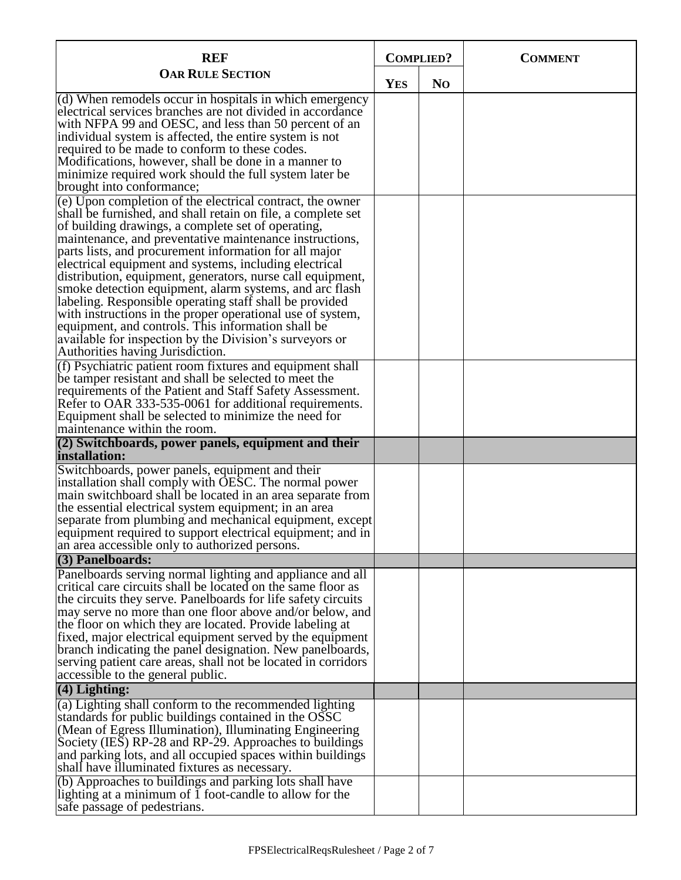| <b>REF</b>                                                                                                           | <b>COMPLIED?</b> |                | <b>COMMENT</b> |
|----------------------------------------------------------------------------------------------------------------------|------------------|----------------|----------------|
| <b>OAR RULE SECTION</b>                                                                                              | <b>YES</b>       | N <sub>O</sub> |                |
| (d) When remodels occur in hospitals in which emergency                                                              |                  |                |                |
| electrical services branches are not divided in accordance<br>with NFPA 99 and OESC, and less than 50 percent of an  |                  |                |                |
| individual system is affected, the entire system is not                                                              |                  |                |                |
| required to be made to conform to these codes.                                                                       |                  |                |                |
| Modifications, however, shall be done in a manner to                                                                 |                  |                |                |
| minimize required work should the full system later be<br>brought into conformance;                                  |                  |                |                |
| (e) Upon completion of the electrical contract, the owner                                                            |                  |                |                |
| shall be furnished, and shall retain on file, a complete set                                                         |                  |                |                |
| of building drawings, a complete set of operating,                                                                   |                  |                |                |
| maintenance, and preventative maintenance instructions,                                                              |                  |                |                |
| parts lists, and procurement information for all major                                                               |                  |                |                |
| electrical equipment and systems, including electrical<br>distribution, equipment, generators, nurse call equipment, |                  |                |                |
| smoke detection equipment, alarm systems, and arc flash                                                              |                  |                |                |
| labeling. Responsible operating staff shall be provided                                                              |                  |                |                |
| with instructions in the proper operational use of system,                                                           |                  |                |                |
| equipment, and controls. This information shall be                                                                   |                  |                |                |
| available for inspection by the Division's surveyors or                                                              |                  |                |                |
| Authorities having Jurisdiction.                                                                                     |                  |                |                |
| (f) Psychiatric patient room fixtures and equipment shall<br>be tamper resistant and shall be selected to meet the   |                  |                |                |
| requirements of the Patient and Staff Safety Assessment.                                                             |                  |                |                |
| Refer to OAR 333-535-0061 for additional requirements.                                                               |                  |                |                |
| Equipment shall be selected to minimize the need for                                                                 |                  |                |                |
| maintenance within the room.                                                                                         |                  |                |                |
| $(2)$ Switchboards, power panels, equipment and their<br>installation:                                               |                  |                |                |
| Switchboards, power panels, equipment and their                                                                      |                  |                |                |
| installation shall comply with OESC. The normal power                                                                |                  |                |                |
| main switchboard shall be located in an area separate from                                                           |                  |                |                |
| the essential electrical system equipment; in an area<br>separate from plumbing and mechanical equipment, except     |                  |                |                |
| equipment required to support electrical equipment; and in                                                           |                  |                |                |
| an area accessible only to authorized persons.                                                                       |                  |                |                |
| (3) Panelboards:                                                                                                     |                  |                |                |
| Panelboards serving normal lighting and appliance and all                                                            |                  |                |                |
| critical care circuits shall be located on the same floor as                                                         |                  |                |                |
| the circuits they serve. Panelboards for life safety circuits                                                        |                  |                |                |
| may serve no more than one floor above and/or below, and<br>the floor on which they are located. Provide labeling at |                  |                |                |
| fixed, major electrical equipment served by the equipment                                                            |                  |                |                |
| branch indicating the panel designation. New panelboards,                                                            |                  |                |                |
| serving patient care areas, shall not be located in corridors                                                        |                  |                |                |
| accessible to the general public.                                                                                    |                  |                |                |
| (4) Lighting:                                                                                                        |                  |                |                |
| (a) Lighting shall conform to the recommended lighting                                                               |                  |                |                |
| standards for public buildings contained in the OSSC<br>(Mean of Egress Illumination), Illuminating Engineering      |                  |                |                |
| Society (IES) RP-28 and RP-29. Approaches to buildings                                                               |                  |                |                |
| and parking lots, and all occupied spaces within buildings                                                           |                  |                |                |
| shall have illuminated fixtures as necessary.                                                                        |                  |                |                |
| (b) Approaches to buildings and parking lots shall have                                                              |                  |                |                |
| lighting at a minimum of $\overline{1}$ foot-candle to allow for the                                                 |                  |                |                |
| safe passage of pedestrians.                                                                                         |                  |                |                |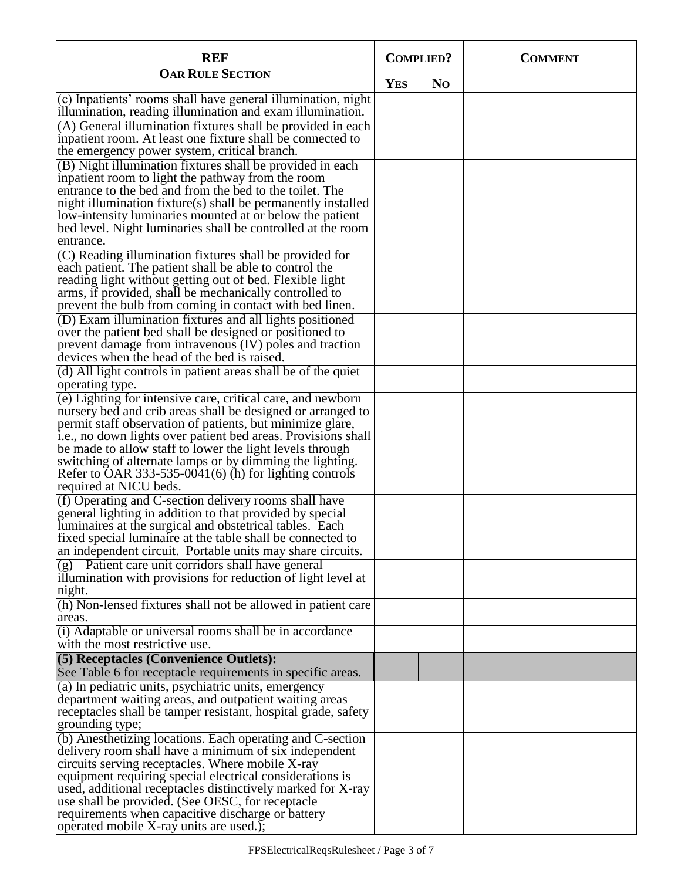| <b>REF</b>                                                                                                                       | <b>COMPLIED?</b> |                | <b>COMMENT</b> |
|----------------------------------------------------------------------------------------------------------------------------------|------------------|----------------|----------------|
| <b>OAR RULE SECTION</b>                                                                                                          | <b>YES</b>       | N <sub>O</sub> |                |
| (c) Inpatients' rooms shall have general illumination, night                                                                     |                  |                |                |
| illumination, reading illumination and exam illumination.<br>$(A)$ General illumination fixtures shall be provided in each       |                  |                |                |
| inpatient room. At least one fixture shall be connected to                                                                       |                  |                |                |
| the emergency power system, critical branch.<br>(B) Night illumination fixtures shall be provided in each                        |                  |                |                |
| inpatient room to light the pathway from the room                                                                                |                  |                |                |
| entrance to the bed and from the bed to the toilet. The                                                                          |                  |                |                |
| night illumination fixture(s) shall be permanently installed<br>low-intensity luminaries mounted at or below the patient         |                  |                |                |
| bed level. Night luminaries shall be controlled at the room                                                                      |                  |                |                |
| entrance.                                                                                                                        |                  |                |                |
| $(C)$ Reading illumination fixtures shall be provided for<br>each patient. The patient shall be able to control the              |                  |                |                |
| reading light without getting out of bed. Flexible light                                                                         |                  |                |                |
| arms, if provided, shall be mechanically controlled to                                                                           |                  |                |                |
| prevent the bulb from coming in contact with bed linen.<br>(D) Exam illumination fixtures and all lights positioned              |                  |                |                |
| over the patient bed shall be designed or positioned to                                                                          |                  |                |                |
| prevent damage from intravenous (IV) poles and traction                                                                          |                  |                |                |
| devices when the head of the bed is raised.<br>(d) All light controls in patient areas shall be of the quiet                     |                  |                |                |
| operating type.                                                                                                                  |                  |                |                |
| $(e)$ Lighting for intensive care, critical care, and newborn                                                                    |                  |                |                |
| nursery bed and crib areas shall be designed or arranged to<br>permit staff observation of patients, but minimize glare,         |                  |                |                |
| i.e., no down lights over patient bed areas. Provisions shall                                                                    |                  |                |                |
| be made to allow staff to lower the light levels through                                                                         |                  |                |                |
| switching of alternate lamps or by dimming the lighting.<br>Refer to OAR 333-535-00 $\overline{4}1(6)$ (h) for lighting controls |                  |                |                |
| required at NICU beds.                                                                                                           |                  |                |                |
| (f) Operating and C-section delivery rooms shall have                                                                            |                  |                |                |
| general lighting in addition to that provided by special<br>luminaires at the surgical and obstetrical tables. Each              |                  |                |                |
| fixed special luminaire at the table shall be connected to                                                                       |                  |                |                |
| an independent circuit. Portable units may share circuits.                                                                       |                  |                |                |
| $(g)$ Patient care unit corridors shall have general<br>illumination with provisions for reduction of light level at             |                  |                |                |
| night.                                                                                                                           |                  |                |                |
| (h) Non-lensed fixtures shall not be allowed in patient care                                                                     |                  |                |                |
| areas.<br>(i) Adaptable or universal rooms shall be in accordance                                                                |                  |                |                |
| with the most restrictive use.                                                                                                   |                  |                |                |
| (5) Receptacles (Convenience Outlets):                                                                                           |                  |                |                |
| See Table 6 for receptacle requirements in specific areas.                                                                       |                  |                |                |
| (a) In pediatric units, psychiatric units, emergency<br>department waiting areas, and outpatient waiting areas                   |                  |                |                |
| receptacles shall be tamper resistant, hospital grade, safety                                                                    |                  |                |                |
| grounding type;                                                                                                                  |                  |                |                |
| (b) Anesthetizing locations. Each operating and C-section<br>delivery room shall have a minimum of six independent               |                  |                |                |
| circuits serving receptacles. Where mobile X-ray                                                                                 |                  |                |                |
| equipment requiring special electrical considerations is                                                                         |                  |                |                |
| used, additional receptacles distinctively marked for X-ray<br>use shall be provided. (See OESC, for receptacle                  |                  |                |                |
| requirements when capacitive discharge or battery                                                                                |                  |                |                |
| operated mobile X-ray units are used.);                                                                                          |                  |                |                |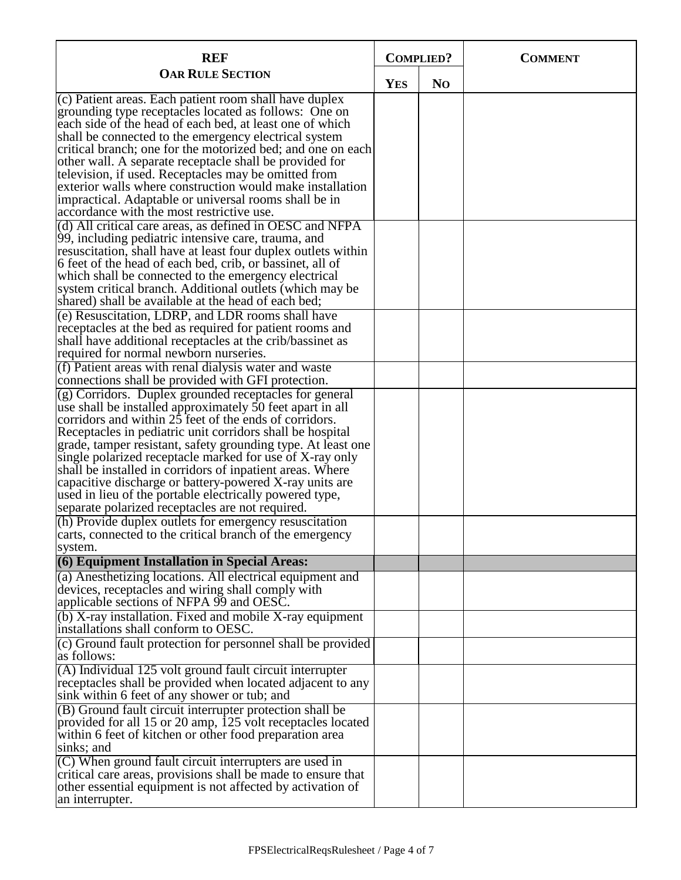| <b>REF</b>                                                                                                                                                                                                                                                                                                                                                                                                               |            | <b>COMPLIED?</b> | <b>COMMENT</b> |
|--------------------------------------------------------------------------------------------------------------------------------------------------------------------------------------------------------------------------------------------------------------------------------------------------------------------------------------------------------------------------------------------------------------------------|------------|------------------|----------------|
| <b>OAR RULE SECTION</b>                                                                                                                                                                                                                                                                                                                                                                                                  | <b>YES</b> | N <sub>O</sub>   |                |
| (c) Patient areas. Each patient room shall have duplex<br>grounding type receptacles located as follows: One on<br>each side of the head of each bed, at least one of which<br>shall be connected to the emergency electrical system<br>critical branch; one for the motorized bed; and one on each<br>other wall. A separate receptacle shall be provided for<br>television, if used. Receptacles may be omitted from   |            |                  |                |
| exterior walls where construction would make installation<br>impractical. Adaptable or universal rooms shall be in<br>accordance with the most restrictive use.                                                                                                                                                                                                                                                          |            |                  |                |
| (d) All critical care areas, as defined in OESC and NFPA<br>99, including pediatric intensive care, trauma, and<br>resuscitation, shall have at least four duplex outlets within<br>6 feet of the head of each bed, crib, or bassinet, all of<br>which shall be connected to the emergency electrical<br>system critical branch. Additional outlets (which may be<br>shared) shall be available at the head of each bed; |            |                  |                |
| (e) Resuscitation, LDRP, and LDR rooms shall have<br>receptacles at the bed as required for patient rooms and<br>shall have additional receptacles at the crib/bassinet as<br>required for normal newborn nurseries.                                                                                                                                                                                                     |            |                  |                |
| (f) Patient areas with renal dialysis water and waste<br>connections shall be provided with GFI protection.                                                                                                                                                                                                                                                                                                              |            |                  |                |
| (g) Corridors. Duplex grounded receptacles for general<br>use shall be installed approximately 50 feet apart in all<br>corridors and within 25 feet of the ends of corridors.<br>Receptacles in pediatric unit corridors shall be hospital                                                                                                                                                                               |            |                  |                |
| grade, tamper resistant, safety grounding type. At least one<br>single polarized receptacle marked for use of X-ray only<br>shall be installed in corridors of inpatient areas. Where<br>capacitive discharge or battery-powered X-ray units are<br>used in lieu of the portable electrically powered type,<br>separate polarized receptacles are not required.                                                          |            |                  |                |
| (h) Provide duplex outlets for emergency resuscitation<br>carts, connected to the critical branch of the emergency<br>system.                                                                                                                                                                                                                                                                                            |            |                  |                |
| (6) Equipment Installation in Special Areas:                                                                                                                                                                                                                                                                                                                                                                             |            |                  |                |
| (a) Anesthetizing locations. All electrical equipment and<br>devices, receptacles and wiring shall comply with<br>applicable sections of NFPA 99 and OESC.                                                                                                                                                                                                                                                               |            |                  |                |
| (b) X-ray installation. Fixed and mobile X-ray equipment<br>installations shall conform to OESC.                                                                                                                                                                                                                                                                                                                         |            |                  |                |
| (c) Ground fault protection for personnel shall be provided<br>as follows:                                                                                                                                                                                                                                                                                                                                               |            |                  |                |
| (A) Individual 125 volt ground fault circuit interrupter<br>receptacles shall be provided when located adjacent to any<br>sink within 6 feet of any shower or tub; and                                                                                                                                                                                                                                                   |            |                  |                |
| (B) Ground fault circuit interrupter protection shall be<br>provided for all 15 or 20 amp, 125 volt receptacles located<br>within 6 feet of kitchen or other food preparation area<br>sinks; and                                                                                                                                                                                                                         |            |                  |                |
| $(C)$ When ground fault circuit interrupters are used in<br>critical care areas, provisions shall be made to ensure that<br>other essential equipment is not affected by activation of<br>an interrupter.                                                                                                                                                                                                                |            |                  |                |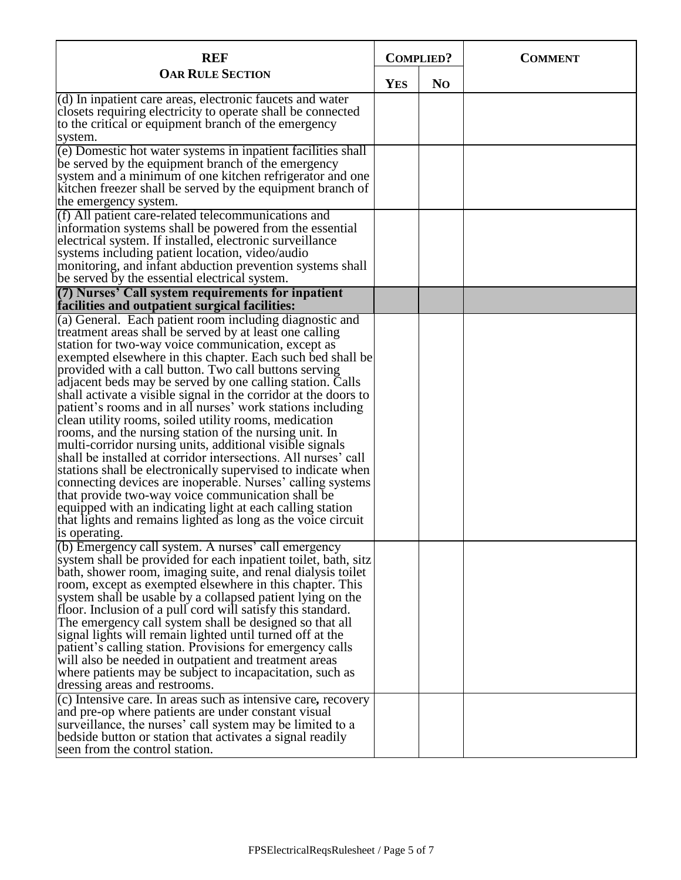| <b>REF</b>                                                                                                                                                                                                                                                                                                                                                                                                                                                                                                                                                                                                                                                                                                                                                                                                                                                                                                                                                                                                                                                                      | <b>COMPLIED?</b> |                | <b>COMMENT</b> |
|---------------------------------------------------------------------------------------------------------------------------------------------------------------------------------------------------------------------------------------------------------------------------------------------------------------------------------------------------------------------------------------------------------------------------------------------------------------------------------------------------------------------------------------------------------------------------------------------------------------------------------------------------------------------------------------------------------------------------------------------------------------------------------------------------------------------------------------------------------------------------------------------------------------------------------------------------------------------------------------------------------------------------------------------------------------------------------|------------------|----------------|----------------|
| <b>OAR RULE SECTION</b>                                                                                                                                                                                                                                                                                                                                                                                                                                                                                                                                                                                                                                                                                                                                                                                                                                                                                                                                                                                                                                                         | <b>YES</b>       | N <sub>O</sub> |                |
| $(d)$ In inpatient care areas, electronic faucets and water<br>closets requiring electricity to operate shall be connected<br>to the critical or equipment branch of the emergency<br>system.                                                                                                                                                                                                                                                                                                                                                                                                                                                                                                                                                                                                                                                                                                                                                                                                                                                                                   |                  |                |                |
| (e) Domestic hot water systems in inpatient facilities shall<br>be served by the equipment branch of the emergency<br>system and a minimum of one kitchen refrigerator and one<br>kitchen freezer shall be served by the equipment branch of<br>the emergency system.                                                                                                                                                                                                                                                                                                                                                                                                                                                                                                                                                                                                                                                                                                                                                                                                           |                  |                |                |
| (f) All patient care-related telecommunications and<br>information systems shall be powered from the essential<br>electrical system. If installed, electronic surveillance<br>systems including patient location, video/audio<br>monitoring, and infant abduction prevention systems shall<br>be served by the essential electrical system.                                                                                                                                                                                                                                                                                                                                                                                                                                                                                                                                                                                                                                                                                                                                     |                  |                |                |
| (7) Nurses' Call system requirements for inpatient<br>facilities and outpatient surgical facilities:                                                                                                                                                                                                                                                                                                                                                                                                                                                                                                                                                                                                                                                                                                                                                                                                                                                                                                                                                                            |                  |                |                |
| (a) General. Each patient room including diagnostic and<br>treatment areas shall be served by at least one calling<br>station for two-way voice communication, except as<br>exempted elsewhere in this chapter. Each such bed shall be<br>provided with a call button. Two call buttons serving<br>adjacent beds may be served by one calling station. Calls<br>shall activate a visible signal in the corridor at the doors to<br>patient's rooms and in all nurses' work stations including<br>clean utility rooms, soiled utility rooms, medication<br>rooms, and the nursing station of the nursing unit. In<br>multi-corridor nursing units, additional visible signals<br>shall be installed at corridor intersections. All nurses' call<br>stations shall be electronically supervised to indicate when<br>connecting devices are inoperable. Nurses' calling systems<br>that provide two-way voice communication shall be<br>equipped with an indicating light at each calling station<br>that lights and remains lighted as long as the voice circuit<br>is operating. |                  |                |                |
| (b) Emergency call system. A nurses' call emergency<br>system shall be provided for each inpatient toilet, bath, sitz<br>bath, shower room, imaging suite, and renal dialysis toilet<br>room, except as exempted elsewhere in this chapter. This<br>system shall be usable by a collapsed patient lying on the<br>floor. Inclusion of a pull cord will satisfy this standard.<br>The emergency call system shall be designed so that all<br>signal lights will remain lighted until turned off at the<br>patient's calling station. Provisions for emergency calls<br>will also be needed in outpatient and treatment areas<br>where patients may be subject to incapacitation, such as<br>dressing areas and restrooms.<br>(c) Intensive care. In areas such as intensive care, recovery<br>and pre-op where patients are under constant visual<br>surveillance, the nurses' call system may be limited to a<br>bedside button or station that activates a signal readily<br>seen from the control station.                                                                    |                  |                |                |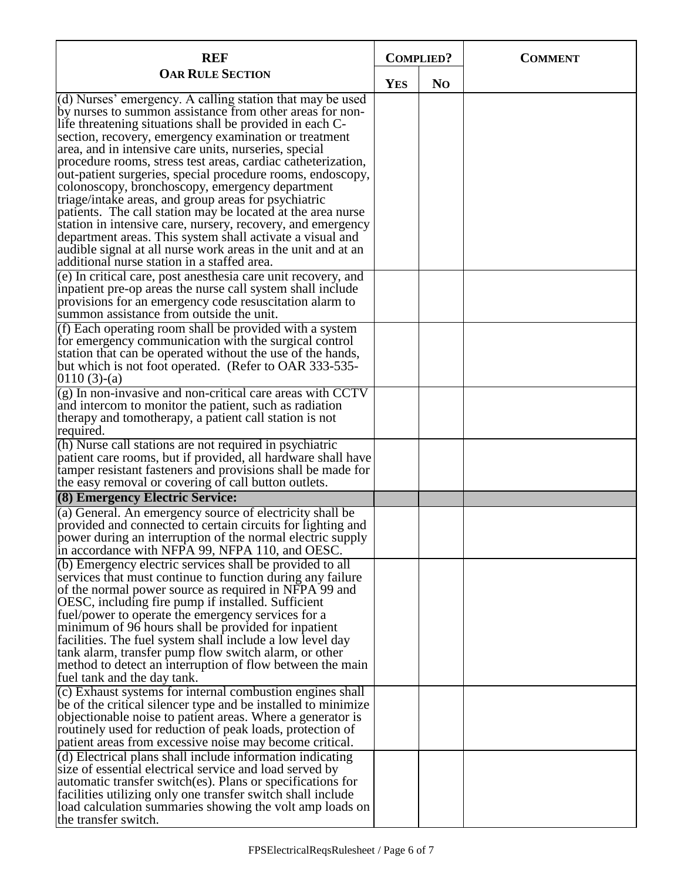| <b>REF</b>                                                                                                                                                                                                                                                                                                                                                                                                                                                                                                                                                                                                                                                                                                                                                                                                                                             | <b>COMPLIED?</b> |                | <b>COMMENT</b> |
|--------------------------------------------------------------------------------------------------------------------------------------------------------------------------------------------------------------------------------------------------------------------------------------------------------------------------------------------------------------------------------------------------------------------------------------------------------------------------------------------------------------------------------------------------------------------------------------------------------------------------------------------------------------------------------------------------------------------------------------------------------------------------------------------------------------------------------------------------------|------------------|----------------|----------------|
| <b>OAR RULE SECTION</b>                                                                                                                                                                                                                                                                                                                                                                                                                                                                                                                                                                                                                                                                                                                                                                                                                                | <b>YES</b>       | N <sub>O</sub> |                |
| (d) Nurses' emergency. A calling station that may be used<br>by nurses to summon assistance from other areas for non-<br>life threatening situations shall be provided in each C-<br>section, recovery, emergency examination or treatment<br>area, and in intensive care units, nurseries, special<br>procedure rooms, stress test areas, cardiac catheterization,<br>out-patient surgeries, special procedure rooms, endoscopy,<br>colonoscopy, bronchoscopy, emergency department<br>triage/intake areas, and group areas for psychiatric<br>patients. The call station may be located at the area nurse<br>station in intensive care, nursery, recovery, and emergency<br>department areas. This system shall activate a visual and<br>audible signal at all nurse work areas in the unit and at an<br>additional nurse station in a staffed area. |                  |                |                |
| (e) In critical care, post anesthesia care unit recovery, and<br>inpatient pre-op areas the nurse call system shall include<br>provisions for an emergency code resuscitation alarm to<br>summon assistance from outside the unit.                                                                                                                                                                                                                                                                                                                                                                                                                                                                                                                                                                                                                     |                  |                |                |
| (f) Each operating room shall be provided with a system<br>for emergency communication with the surgical control<br>station that can be operated without the use of the hands,<br>but which is not foot operated. (Refer to OAR 333-535-<br>$0110(3)-(a)$                                                                                                                                                                                                                                                                                                                                                                                                                                                                                                                                                                                              |                  |                |                |
| $(g)$ In non-invasive and non-critical care areas with CCTV<br>and intercom to monitor the patient, such as radiation<br>therapy and tomotherapy, a patient call station is not<br>required.                                                                                                                                                                                                                                                                                                                                                                                                                                                                                                                                                                                                                                                           |                  |                |                |
| (h) Nurse call stations are not required in psychiatric<br>patient care rooms, but if provided, all hardware shall have<br>tamper resistant fasteners and provisions shall be made for<br>the easy removal or covering of call button outlets.                                                                                                                                                                                                                                                                                                                                                                                                                                                                                                                                                                                                         |                  |                |                |
| (8) Emergency Electric Service:                                                                                                                                                                                                                                                                                                                                                                                                                                                                                                                                                                                                                                                                                                                                                                                                                        |                  |                |                |
| (a) General. An emergency source of electricity shall be<br>provided and connected to certain circuits for lighting and<br>power during an interruption of the normal electric supply<br>in accordance with NFPA 99, NFPA 110, and OESC.                                                                                                                                                                                                                                                                                                                                                                                                                                                                                                                                                                                                               |                  |                |                |
| (b) Emergency electric services shall be provided to all<br>services that must continue to function during any failure<br>of the normal power source as required in NFPA 99 and<br>OESC, including fire pump if installed. Sufficient<br>fuel/power to operate the emergency services for a<br>minimum of 96 hours shall be provided for inpatient<br>facilities. The fuel system shall include a low level day<br>tank alarm, transfer pump flow switch alarm, or other<br>method to detect an interruption of flow between the main<br>fuel tank and the day tank.                                                                                                                                                                                                                                                                                   |                  |                |                |
| $(c)$ Exhaust systems for internal combustion engines shall<br>be of the critical silencer type and be installed to minimize<br>objectionable noise to patient areas. Where a generator is<br>routinely used for reduction of peak loads, protection of<br>patient areas from excessive noise may become critical.                                                                                                                                                                                                                                                                                                                                                                                                                                                                                                                                     |                  |                |                |
| $(d)$ Electrical plans shall include information indicating<br>size of essential electrical service and load served by<br>automatic transfer switch(es). Plans or specifications for<br>facilities utilizing only one transfer switch shall include<br>load calculation summaries showing the volt amp loads on<br>the transfer switch.                                                                                                                                                                                                                                                                                                                                                                                                                                                                                                                |                  |                |                |